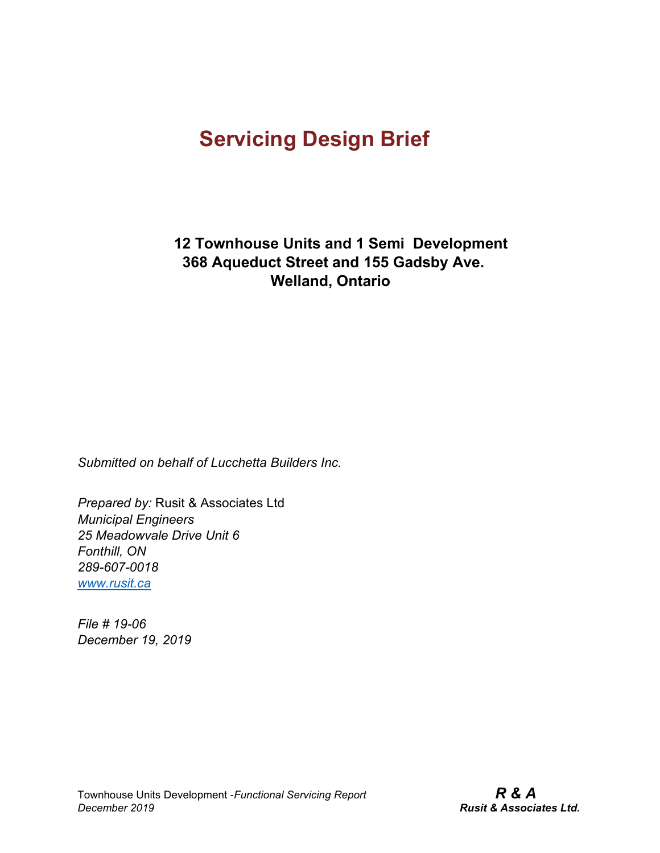**12 Townhouse Units and 1 Semi Development 368 Aqueduct Street and 155 Gadsby Ave. Welland, Ontario**

*Submitted on behalf of Lucchetta Builders Inc.*

*Prepared by:* Rusit & Associates Ltd *Municipal Engineers 25 Meadowvale Drive Unit 6 Fonthill, ON 289-607-0018 [www.rusit.ca](http://www.rusit.ca/)*

*File # 19-06 December 19, 2019*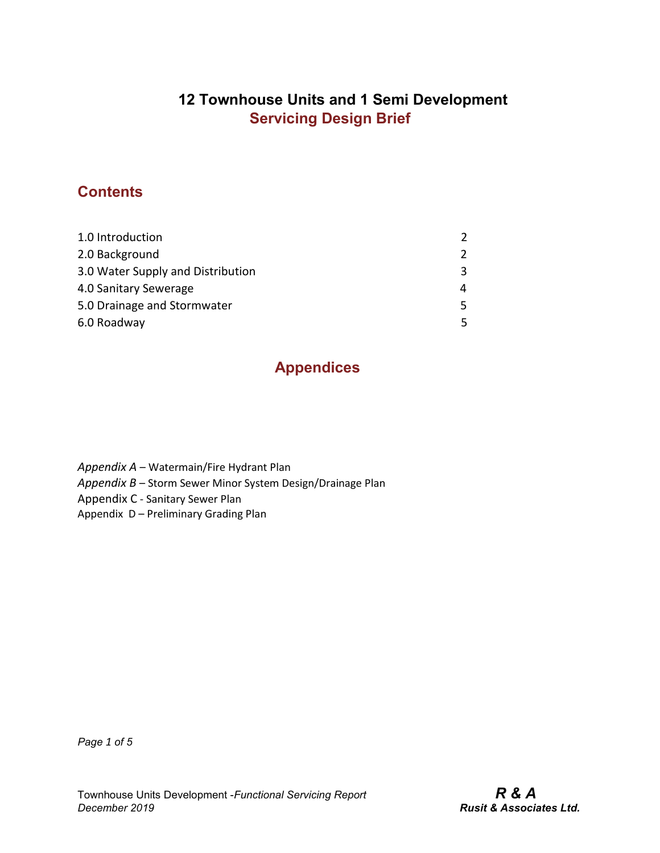## **12 Townhouse Units and 1 Semi Development Servicing Design Brief**

## **Contents**

| 1.0 Introduction                  | $\mathcal{P}$ |
|-----------------------------------|---------------|
| 2.0 Background                    |               |
| 3.0 Water Supply and Distribution | 3.            |
| 4.0 Sanitary Sewerage             |               |
| 5.0 Drainage and Stormwater       | 5.            |
| 6.0 Roadway                       |               |

## **Appendices**

- *Appendix A*  Watermain/Fire Hydrant Plan
- *Appendix B*  Storm Sewer Minor System Design/Drainage Plan
- Appendix C Sanitary Sewer Plan
- Appendix D Preliminary Grading Plan

*Page 1 of 5*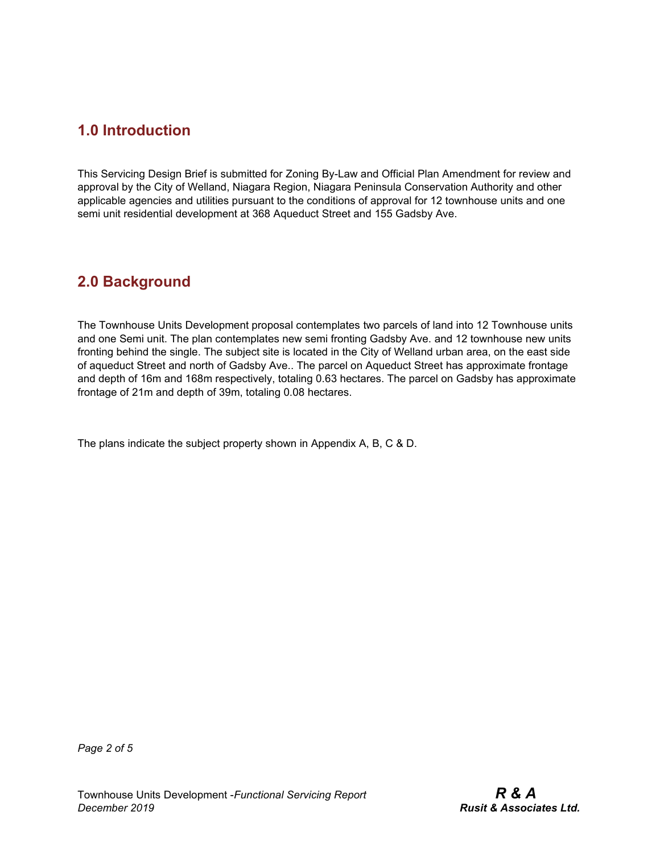#### **1.0 Introduction**

This Servicing Design Brief is submitted for Zoning By-Law and Official Plan Amendment for review and approval by the City of Welland, Niagara Region, Niagara Peninsula Conservation Authority and other applicable agencies and utilities pursuant to the conditions of approval for 12 townhouse units and one semi unit residential development at 368 Aqueduct Street and 155 Gadsby Ave.

#### **2.0 Background**

The Townhouse Units Development proposal contemplates two parcels of land into 12 Townhouse units and one Semi unit. The plan contemplates new semi fronting Gadsby Ave. and 12 townhouse new units fronting behind the single. The subject site is located in the City of Welland urban area, on the east side of aqueduct Street and north of Gadsby Ave.. The parcel on Aqueduct Street has approximate frontage and depth of 16m and 168m respectively, totaling 0.63 hectares. The parcel on Gadsby has approximate frontage of 21m and depth of 39m, totaling 0.08 hectares.

The plans indicate the subject property shown in Appendix A, B, C & D.

*Page 2 of 5*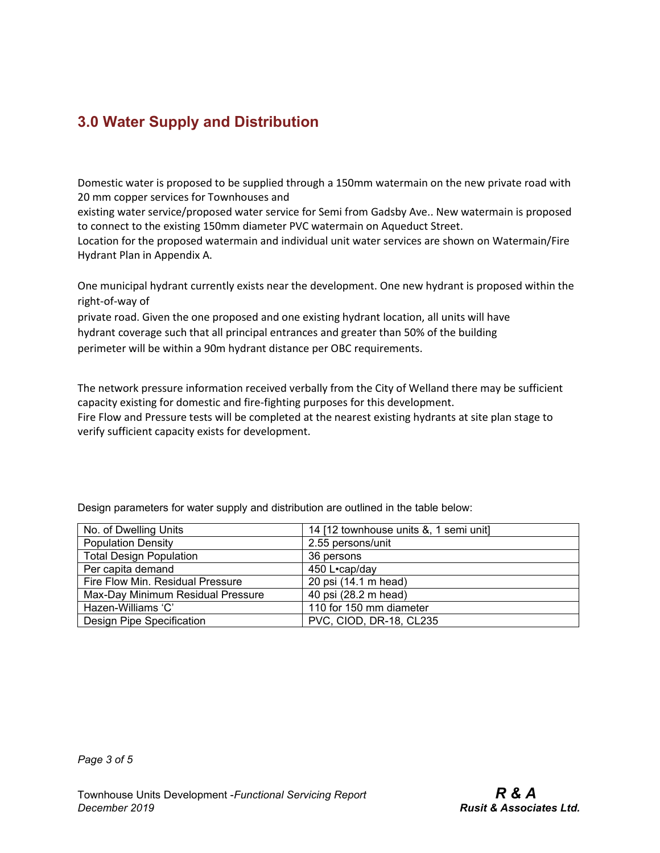# **3.0 Water Supply and Distribution**

Domestic water is proposed to be supplied through a 150mm watermain on the new private road with 20 mm copper services for Townhouses and

existing water service/proposed water service for Semi from Gadsby Ave.. New watermain is proposed to connect to the existing 150mm diameter PVC watermain on Aqueduct Street.

Location for the proposed watermain and individual unit water services are shown on Watermain/Fire Hydrant Plan in Appendix A.

One municipal hydrant currently exists near the development. One new hydrant is proposed within the right-of-way of

private road. Given the one proposed and one existing hydrant location, all units will have hydrant coverage such that all principal entrances and greater than 50% of the building perimeter will be within a 90m hydrant distance per OBC requirements.

The network pressure information received verbally from the City of Welland there may be sufficient capacity existing for domestic and fire-fighting purposes for this development. Fire Flow and Pressure tests will be completed at the nearest existing hydrants at site plan stage to verify sufficient capacity exists for development.

No. of Dwelling Units 14 [12 townhouse units &, 1 semi unit] Population Density 2.55 persons/unit Total Design Population **1988** and 136 persons Per capita demand 1450 L•cap/day Fire Flow Min. Residual Pressure 20 psi (14.1 m head) Max-Day Minimum Residual Pressure | 40 psi (28.2 m head) Hazen-Williams 'C' 110 for 150 mm diameter Design Pipe Specification **PVC, CIOD, DR-18, CL235** 

Design parameters for water supply and distribution are outlined in the table below: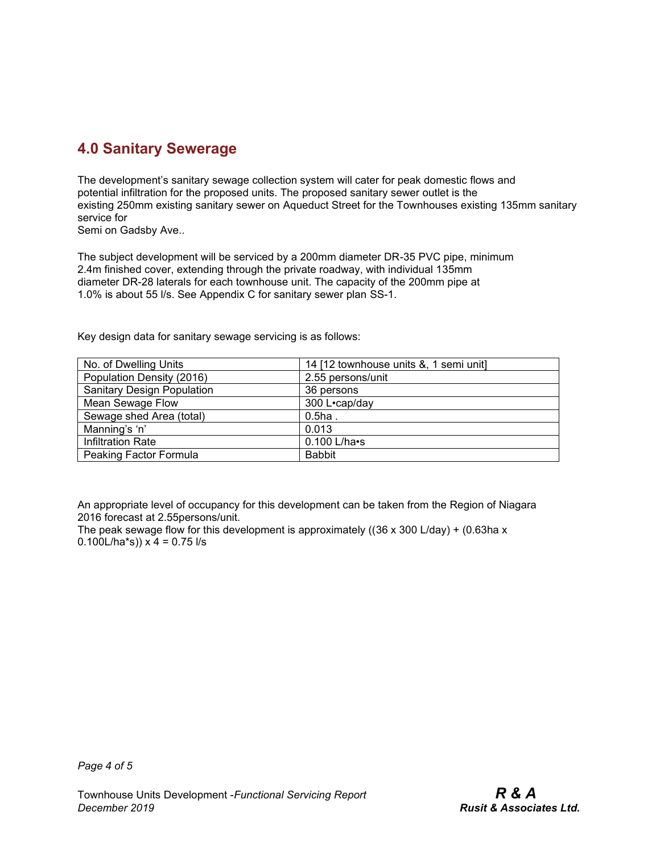# **4.0 Sanitary Sewerage**

The development's sanitary sewage collection system will cater for peak domestic flows and potential infiltration for the proposed units. The proposed sanitary sewer outlet is the existing 250mm existing sanitary sewer on Aqueduct Street for the Townhouses existing 135mm sanitary service for

Semi on Gadsby Ave..

The subject development will be serviced by a 200mm diameter DR-35 PVC pipe, minimum 2.4m finished cover, extending through the private roadway, with individual 135mm diameter DR-28 laterals for each townhouse unit. The capacity of the 200mm pipe at 1.0% is about 55 l/s. See Appendix C for sanitary sewer plan SS-1.

| toy acoign adid for barmary bowdgo borviolity to do follows. |                                        |
|--------------------------------------------------------------|----------------------------------------|
| No. of Dwelling Units                                        | 14 [12 townhouse units &, 1 semi unit] |
| Population Density (2016)                                    | 2.55 persons/unit                      |

Key design data for sanitary sewage servicing is as follows:

Sanitary Design Population | 36 persons Mean Sewage Flow 1 300 L•cap/day Sewage shed Area (total) **Example 20.5ha** . Manning's 'n' 0.013 Infiltration Rate 0.100 L/ha•s Peaking Factor Formula Babbit

| An appropriate level of occupancy for this development can be taken from the Region of Niagara |
|------------------------------------------------------------------------------------------------|
| 2016 forecast at 2.55 persons/unit.                                                            |

The peak sewage flow for this development is approximately ( $(36 \times 300 \text{ L/day}) + (0.63 \text{ ha } \times \text{L})$ 0.100L/ha\*s))  $x$  4 = 0.75 l/s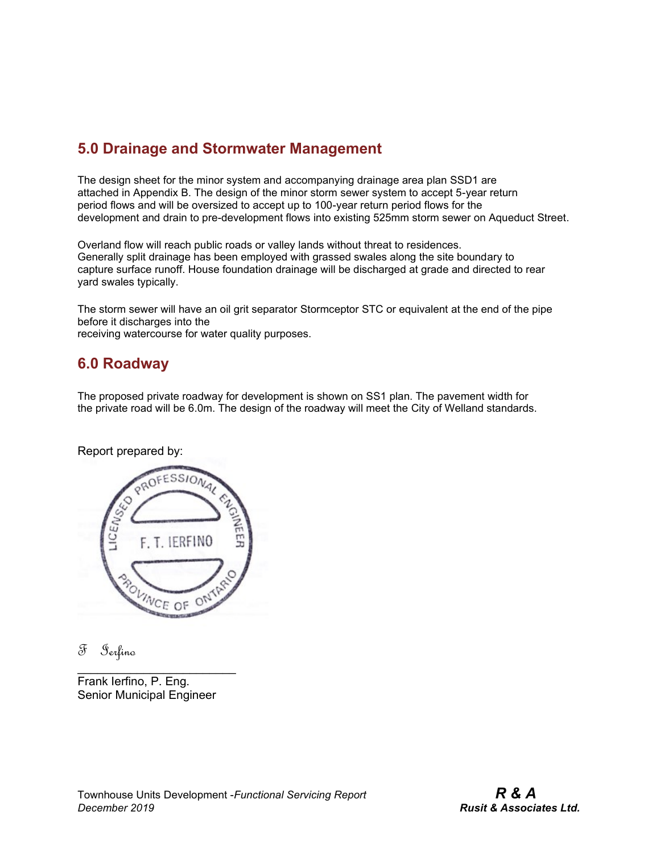## **5.0 Drainage and Stormwater Management**

The design sheet for the minor system and accompanying drainage area plan SSD1 are attached in Appendix B. The design of the minor storm sewer system to accept 5-year return period flows and will be oversized to accept up to 100-year return period flows for the development and drain to pre-development flows into existing 525mm storm sewer on Aqueduct Street.

Overland flow will reach public roads or valley lands without threat to residences. Generally split drainage has been employed with grassed swales along the site boundary to capture surface runoff. House foundation drainage will be discharged at grade and directed to rear yard swales typically.

The storm sewer will have an oil grit separator Stormceptor STC or equivalent at the end of the pipe before it discharges into the

receiving watercourse for water quality purposes.

#### **6.0 Roadway**

The proposed private roadway for development is shown on SS1 plan. The pavement width for the private road will be 6.0m. The design of the roadway will meet the City of Welland standards.

Report prepared by:



F Ierfino

Frank Ierfino, P. Eng. Senior Municipal Engineer

 $\mathcal{L}_\text{max}$  , where  $\mathcal{L}_\text{max}$  is the set of the set of the set of the set of the set of the set of the set of the set of the set of the set of the set of the set of the set of the set of the set of the set of the se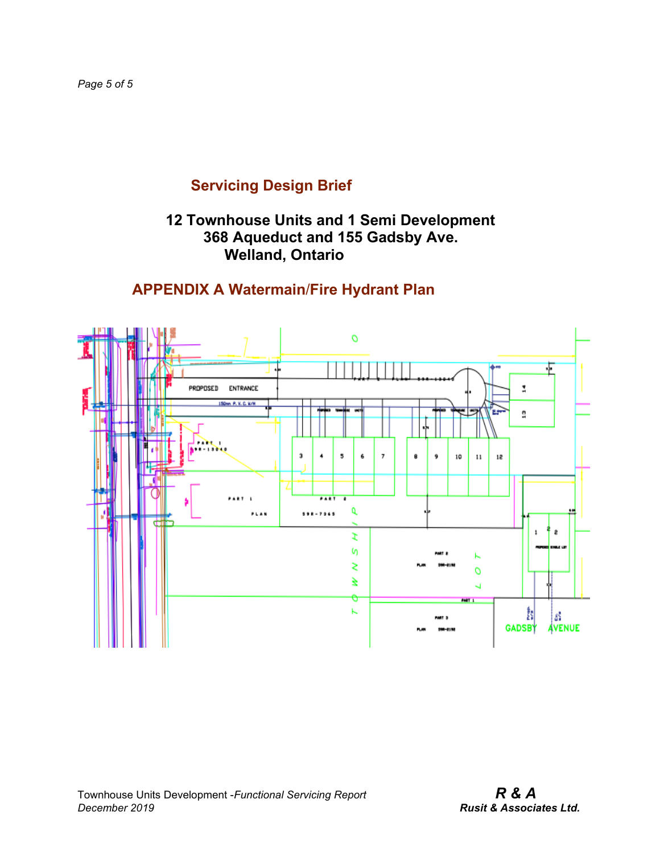## **12 Townhouse Units and 1 Semi Development 368 Aqueduct and 155 Gadsby Ave. Welland, Ontario**

# **APPENDIX A Watermain**/**Fire Hydrant Plan**

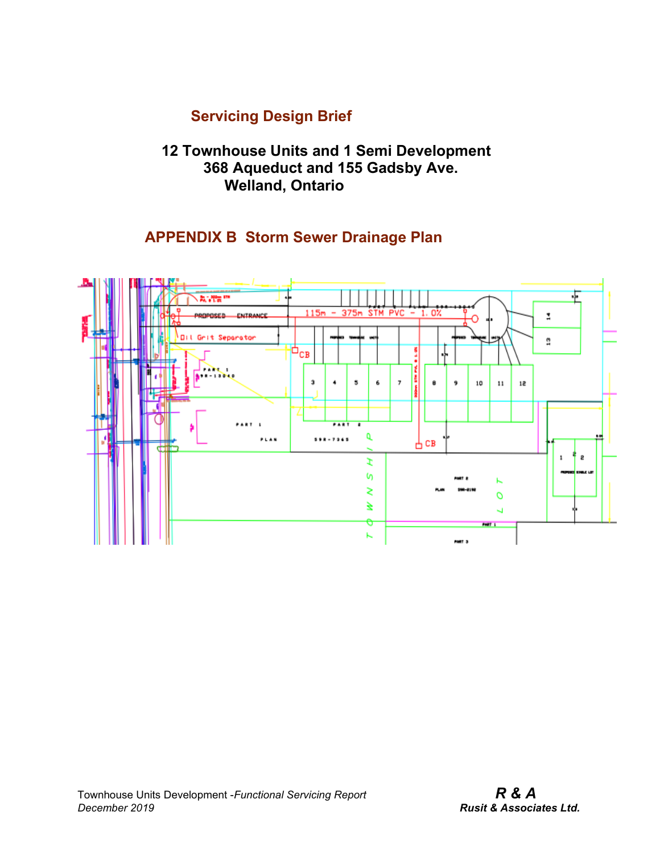#### **12 Townhouse Units and 1 Semi Development 368 Aqueduct and 155 Gadsby Ave. Welland, Ontario**

## **APPENDIX B Storm Sewer Drainage Plan**

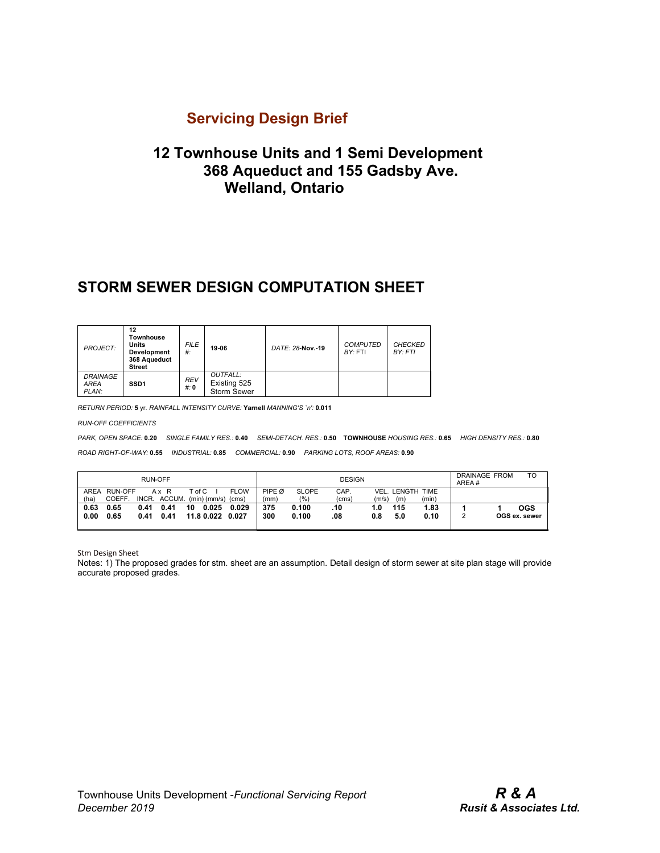#### **12 Townhouse Units and 1 Semi Development 368 Aqueduct and 155 Gadsby Ave. Welland, Ontario**

#### **STORM SEWER DESIGN COMPUTATION SHEET**

| <b>PROJECT:</b>                         | 12<br>Townhouse<br>Units<br>Development<br>368 Aqueduct<br><b>Street</b> | <b>FILE</b><br># | 19-06                                          | DATE: 28-Nov.-19 | <b>COMPUTED</b><br>BY: FTI | <b>CHECKED</b><br>BY: FTI |  |
|-----------------------------------------|--------------------------------------------------------------------------|------------------|------------------------------------------------|------------------|----------------------------|---------------------------|--|
| <b>DRAINAGE</b><br><b>AREA</b><br>PLAN: | <b>REV</b><br>SSD <sub>1</sub><br>#: 0                                   |                  | OUTFALL:<br>Existing 525<br><b>Storm Sewer</b> |                  |                            |                           |  |

*RETURN PERIOD:* **5** yr. *RAINFALL INTENSITY CURVE:* **Yarnell** *MANNING'S `n':* **0.011**

*RUN-OFF COEFFICIENTS*

*PARK, OPEN SPACE:* **0.20** *SINGLE FAMILY RES.:* **0.40** *SEMI-DETACH. RES.:* **0.50 TOWNHOUSE** *HOUSING RES.:* **0.65** *HIGH DENSITY RES.:* **0.80** *ROAD RIGHT-OF-WAY:* **0.55** *INDUSTRIAL:* **0.85** *COMMERCIAL:* **0.90** *PARKING LOTS, ROOF AREAS:* **0.90**

| <b>RUN-OFF</b>      |                                |              |                                   | <b>DESIGN</b> |                     |                |                |                     | <b>DRAINAGE FROM</b><br>AREA# | TO           |                 |                      |  |                             |
|---------------------|--------------------------------|--------------|-----------------------------------|---------------|---------------------|----------------|----------------|---------------------|-------------------------------|--------------|-----------------|----------------------|--|-----------------------------|
| <b>AREA</b><br>(ha) | <b>RUN-OFF</b><br><b>COEFF</b> | INCR.        | Ax R<br>ACCUM. (min) (mm/s) (cms) | $T$ of C      |                     | <b>FLOW</b>    | PIPE Ø<br>(mm` | <b>SLOPE</b><br>(%) | CAP.<br>(cms)                 | VEL<br>(m/s) | . LENGTH<br>(m) | <b>TIME</b><br>(min) |  |                             |
| 0.63<br>0.00        | 0.65<br>0.65                   | 0.41<br>0.41 | 0.41<br>0.41                      | 10            | 0.025<br>11.8 0.022 | 0.029<br>0.027 | 375<br>300     | 0.100<br>0.100      | .10<br>.08                    | 1.0<br>0.8   | 115<br>5.0      | 1.83<br>0.10         |  | <b>OGS</b><br>OGS ex. sewer |

Stm Design Sheet

Notes: 1) The proposed grades for stm. sheet are an assumption. Detail design of storm sewer at site plan stage will provide accurate proposed grades.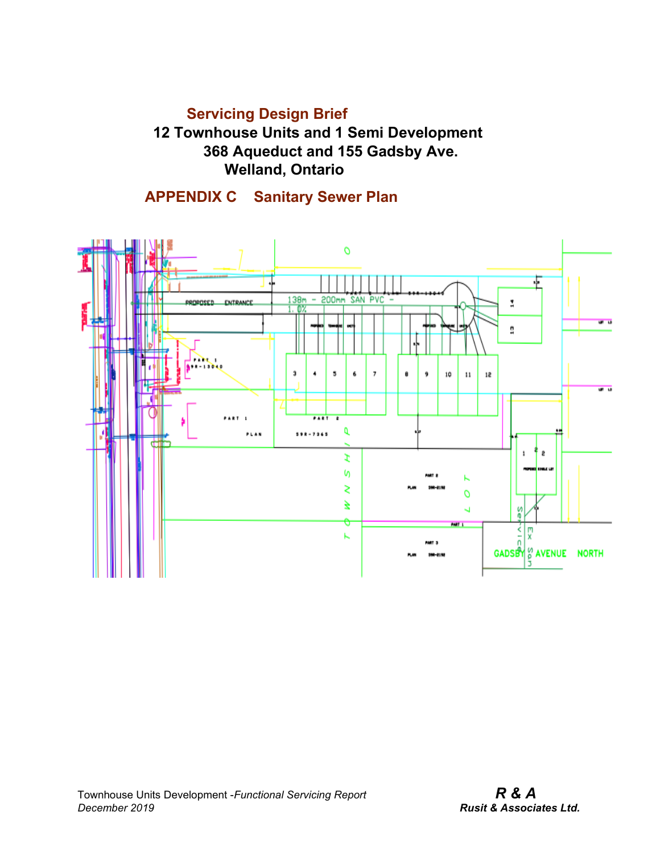**12 Townhouse Units and 1 Semi Development 368 Aqueduct and 155 Gadsby Ave. Welland, Ontario**

 **APPENDIX C Sanitary Sewer Plan**